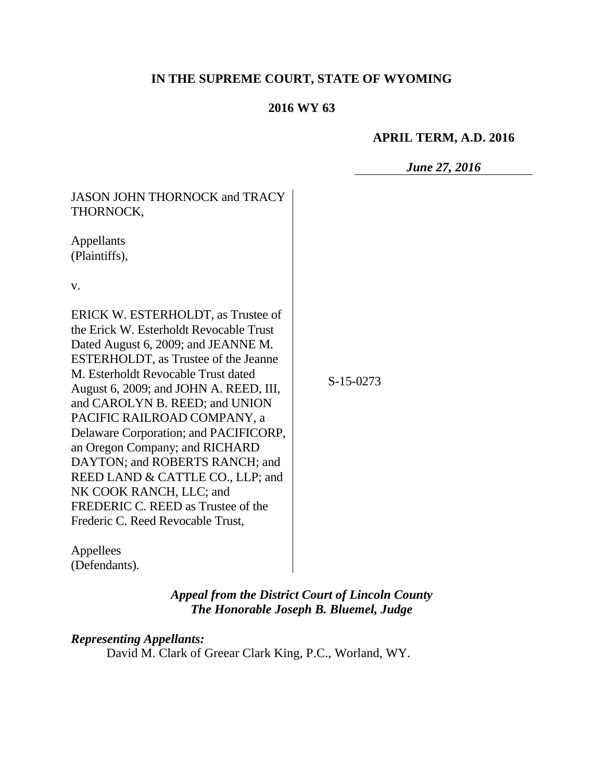#### **IN THE SUPREME COURT, STATE OF WYOMING**

#### **2016 WY 63**

#### **APRIL TERM, A.D. 2016**

*June 27, 2016*

JASON JOHN THORNOCK and TRACY THORNOCK, Appellants (Plaintiffs), v. ERICK W. ESTERHOLDT, as Trustee of the Erick W. Esterholdt Revocable Trust Dated August 6, 2009; and JEANNE M. ESTERHOLDT, as Trustee of the Jeanne M. Esterholdt Revocable Trust dated August 6, 2009; and JOHN A. REED, III, and CAROLYN B. REED; and UNION PACIFIC RAILROAD COMPANY, a Delaware Corporation; and PACIFICORP, an Oregon Company; and RICHARD DAYTON; and ROBERTS RANCH; and

REED LAND & CATTLE CO., LLP; and

FREDERIC C. REED as Trustee of the Frederic C. Reed Revocable Trust,

NK COOK RANCH, LLC; and

S-15-0273

Appellees (Defendants).

> *Appeal from the District Court of Lincoln County The Honorable Joseph B. Bluemel, Judge*

*Representing Appellants:* David M. Clark of Greear Clark King, P.C., Worland, WY.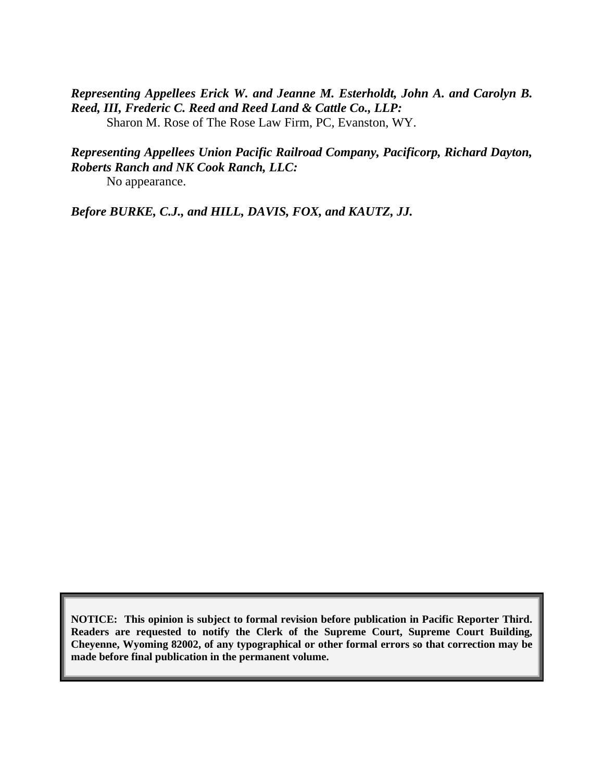*Representing Appellees Erick W. and Jeanne M. Esterholdt, John A. and Carolyn B. Reed, III, Frederic C. Reed and Reed Land & Cattle Co., LLP:* Sharon M. Rose of The Rose Law Firm, PC, Evanston, WY.

## *Representing Appellees Union Pacific Railroad Company, Pacificorp, Richard Dayton, Roberts Ranch and NK Cook Ranch, LLC:*

No appearance.

*Before BURKE, C.J., and HILL, DAVIS, FOX, and KAUTZ, JJ.*

**NOTICE: This opinion is subject to formal revision before publication in Pacific Reporter Third. Readers are requested to notify the Clerk of the Supreme Court, Supreme Court Building, Cheyenne, Wyoming 82002, of any typographical or other formal errors so that correction may be made before final publication in the permanent volume.**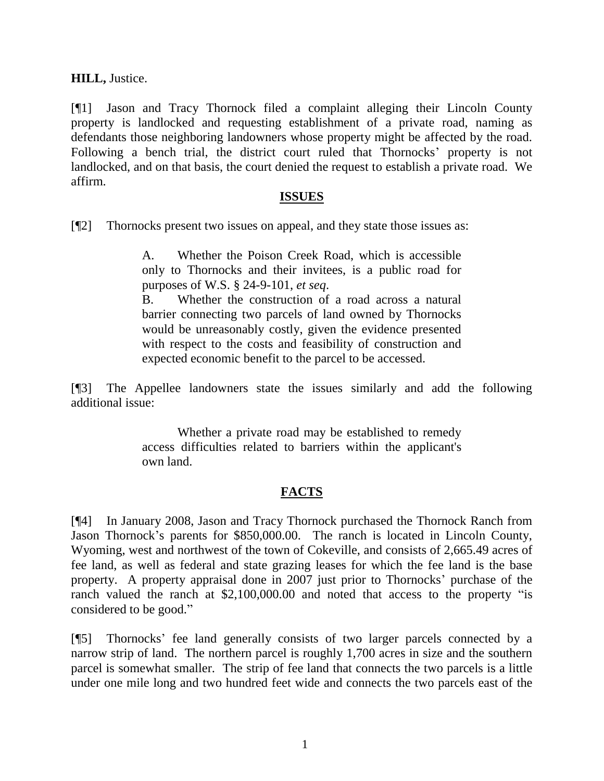**HILL,** Justice.

[¶1] Jason and Tracy Thornock filed a complaint alleging their Lincoln County property is landlocked and requesting establishment of a private road, naming as defendants those neighboring landowners whose property might be affected by the road. Following a bench trial, the district court ruled that Thornocks' property is not landlocked, and on that basis, the court denied the request to establish a private road. We affirm.

#### **ISSUES**

[¶2] Thornocks present two issues on appeal, and they state those issues as:

A. Whether the Poison Creek Road, which is accessible only to Thornocks and their invitees, is a public road for purposes of W.S. § 24-9-101, *et seq*.

B. Whether the construction of a road across a natural barrier connecting two parcels of land owned by Thornocks would be unreasonably costly, given the evidence presented with respect to the costs and feasibility of construction and expected economic benefit to the parcel to be accessed.

[¶3] The Appellee landowners state the issues similarly and add the following additional issue:

> Whether a private road may be established to remedy access difficulties related to barriers within the applicant's own land.

# **FACTS**

[¶4] In January 2008, Jason and Tracy Thornock purchased the Thornock Ranch from Jason Thornock's parents for \$850,000.00. The ranch is located in Lincoln County, Wyoming, west and northwest of the town of Cokeville, and consists of 2,665.49 acres of fee land, as well as federal and state grazing leases for which the fee land is the base property. A property appraisal done in 2007 just prior to Thornocks' purchase of the ranch valued the ranch at \$2,100,000.00 and noted that access to the property "is considered to be good."

[¶5] Thornocks' fee land generally consists of two larger parcels connected by a narrow strip of land. The northern parcel is roughly 1,700 acres in size and the southern parcel is somewhat smaller. The strip of fee land that connects the two parcels is a little under one mile long and two hundred feet wide and connects the two parcels east of the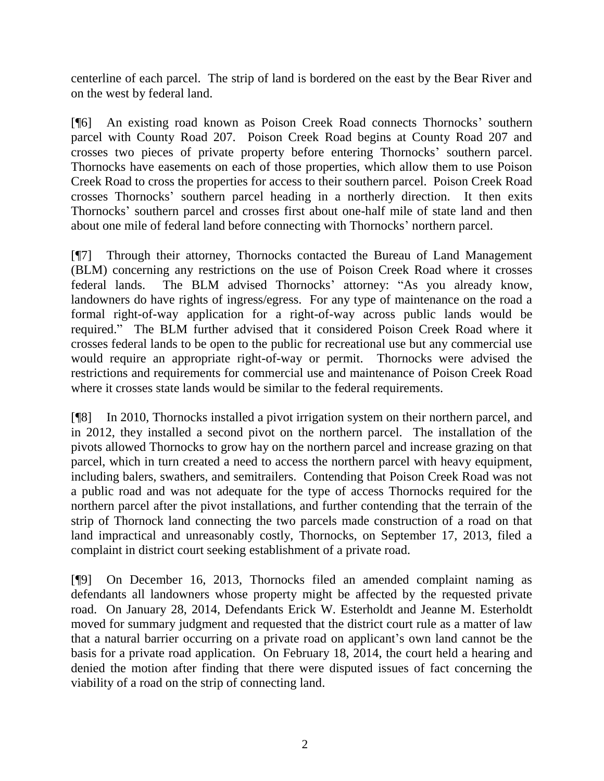centerline of each parcel. The strip of land is bordered on the east by the Bear River and on the west by federal land.

[¶6] An existing road known as Poison Creek Road connects Thornocks' southern parcel with County Road 207. Poison Creek Road begins at County Road 207 and crosses two pieces of private property before entering Thornocks' southern parcel. Thornocks have easements on each of those properties, which allow them to use Poison Creek Road to cross the properties for access to their southern parcel. Poison Creek Road crosses Thornocks' southern parcel heading in a northerly direction. It then exits Thornocks' southern parcel and crosses first about one-half mile of state land and then about one mile of federal land before connecting with Thornocks' northern parcel.

[¶7] Through their attorney, Thornocks contacted the Bureau of Land Management (BLM) concerning any restrictions on the use of Poison Creek Road where it crosses federal lands. The BLM advised Thornocks' attorney: "As you already know, landowners do have rights of ingress/egress. For any type of maintenance on the road a formal right-of-way application for a right-of-way across public lands would be required." The BLM further advised that it considered Poison Creek Road where it crosses federal lands to be open to the public for recreational use but any commercial use would require an appropriate right-of-way or permit. Thornocks were advised the restrictions and requirements for commercial use and maintenance of Poison Creek Road where it crosses state lands would be similar to the federal requirements.

[¶8] In 2010, Thornocks installed a pivot irrigation system on their northern parcel, and in 2012, they installed a second pivot on the northern parcel. The installation of the pivots allowed Thornocks to grow hay on the northern parcel and increase grazing on that parcel, which in turn created a need to access the northern parcel with heavy equipment, including balers, swathers, and semitrailers. Contending that Poison Creek Road was not a public road and was not adequate for the type of access Thornocks required for the northern parcel after the pivot installations, and further contending that the terrain of the strip of Thornock land connecting the two parcels made construction of a road on that land impractical and unreasonably costly, Thornocks, on September 17, 2013, filed a complaint in district court seeking establishment of a private road.

[¶9] On December 16, 2013, Thornocks filed an amended complaint naming as defendants all landowners whose property might be affected by the requested private road. On January 28, 2014, Defendants Erick W. Esterholdt and Jeanne M. Esterholdt moved for summary judgment and requested that the district court rule as a matter of law that a natural barrier occurring on a private road on applicant's own land cannot be the basis for a private road application. On February 18, 2014, the court held a hearing and denied the motion after finding that there were disputed issues of fact concerning the viability of a road on the strip of connecting land.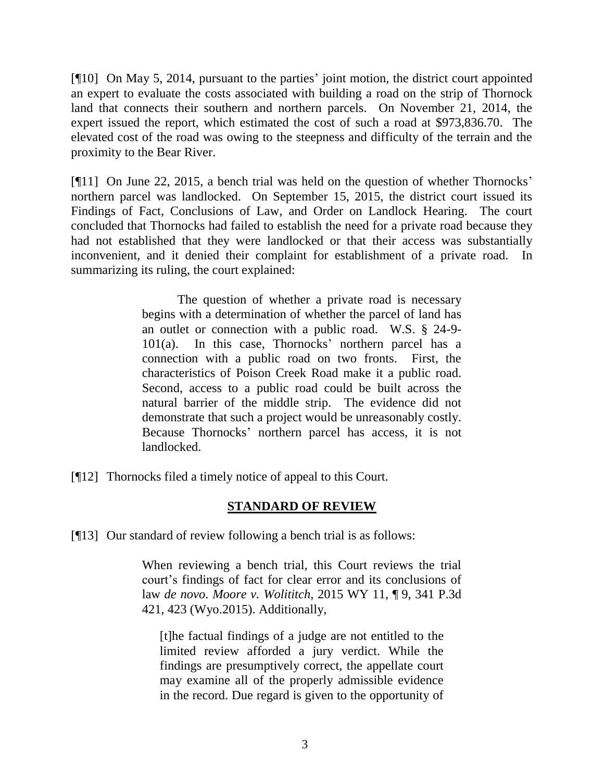[¶10] On May 5, 2014, pursuant to the parties' joint motion, the district court appointed an expert to evaluate the costs associated with building a road on the strip of Thornock land that connects their southern and northern parcels. On November 21, 2014, the expert issued the report, which estimated the cost of such a road at \$973,836.70. The elevated cost of the road was owing to the steepness and difficulty of the terrain and the proximity to the Bear River.

[¶11] On June 22, 2015, a bench trial was held on the question of whether Thornocks' northern parcel was landlocked. On September 15, 2015, the district court issued its Findings of Fact, Conclusions of Law, and Order on Landlock Hearing. The court concluded that Thornocks had failed to establish the need for a private road because they had not established that they were landlocked or that their access was substantially inconvenient, and it denied their complaint for establishment of a private road. In summarizing its ruling, the court explained:

> The question of whether a private road is necessary begins with a determination of whether the parcel of land has an outlet or connection with a public road. W.S. § 24-9- 101(a). In this case, Thornocks' northern parcel has a connection with a public road on two fronts. First, the characteristics of Poison Creek Road make it a public road. Second, access to a public road could be built across the natural barrier of the middle strip. The evidence did not demonstrate that such a project would be unreasonably costly. Because Thornocks' northern parcel has access, it is not landlocked.

[¶12] Thornocks filed a timely notice of appeal to this Court.

## **STANDARD OF REVIEW**

[¶13] Our standard of review following a bench trial is as follows:

When reviewing a bench trial, this Court reviews the trial court's findings of fact for clear error and its conclusions of law *de novo*. *[Moore v. Wolititch](http://www.westlaw.com/Link/Document/FullText?findType=Y&serNum=2035268429&pubNum=0004645&originatingDoc=I0552b0eae3b111e590d4edf60ce7d742&refType=RP&fi=co_pp_sp_4645_423&originationContext=document&vr=3.0&rs=cblt1.0&transitionType=DocumentItem&contextData=(sc.Keycite)#co_pp_sp_4645_423)*, 2015 WY 11, ¶ 9, 341 P.3d [421, 423 \(Wyo.2015\).](http://www.westlaw.com/Link/Document/FullText?findType=Y&serNum=2035268429&pubNum=0004645&originatingDoc=I0552b0eae3b111e590d4edf60ce7d742&refType=RP&fi=co_pp_sp_4645_423&originationContext=document&vr=3.0&rs=cblt1.0&transitionType=DocumentItem&contextData=(sc.Keycite)#co_pp_sp_4645_423) Additionally,

[t]he factual findings of a judge are not entitled to the limited review afforded a jury verdict. While the findings are presumptively correct, the appellate court may examine all of the properly admissible evidence in the record. Due regard is given to the opportunity of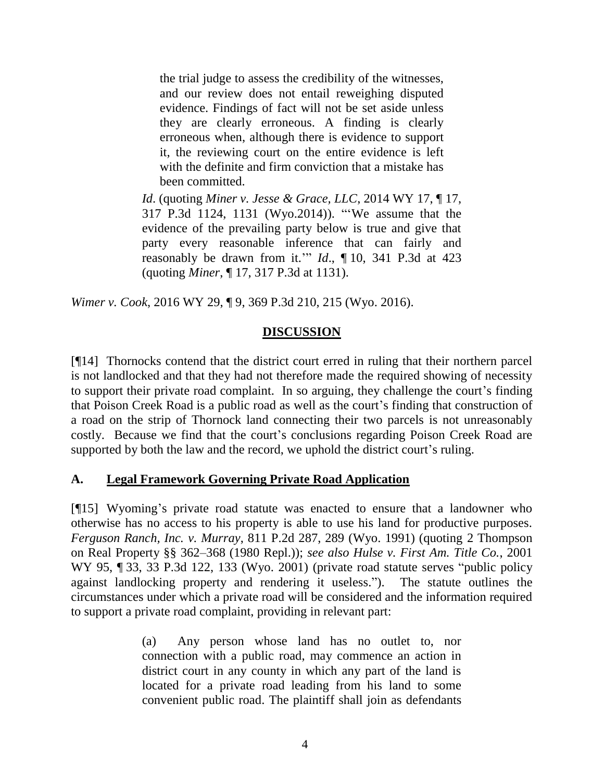the trial judge to assess the credibility of the witnesses, and our review does not entail reweighing disputed evidence. Findings of fact will not be set aside unless they are clearly erroneous. A finding is clearly erroneous when, although there is evidence to support it, the reviewing court on the entire evidence is left with the definite and firm conviction that a mistake has been committed.

*Id*. (quoting *[Miner v. Jesse & Grace, LLC](http://www.westlaw.com/Link/Document/FullText?findType=Y&serNum=2032661379&pubNum=0004645&originatingDoc=I0552b0eae3b111e590d4edf60ce7d742&refType=RP&fi=co_pp_sp_4645_1131&originationContext=document&vr=3.0&rs=cblt1.0&transitionType=DocumentItem&contextData=(sc.Keycite)#co_pp_sp_4645_1131)*, 2014 WY 17, ¶ 17, [317 P.3d 1124, 1131 \(Wyo.2014\)\)](http://www.westlaw.com/Link/Document/FullText?findType=Y&serNum=2032661379&pubNum=0004645&originatingDoc=I0552b0eae3b111e590d4edf60ce7d742&refType=RP&fi=co_pp_sp_4645_1131&originationContext=document&vr=3.0&rs=cblt1.0&transitionType=DocumentItem&contextData=(sc.Keycite)#co_pp_sp_4645_1131). "'We assume that the evidence of the prevailing party below is true and give that party every reasonable inference that can fairly and reasonably be drawn from it.'" *Id*., ¶ [10, 341 P.3d at 423](http://www.westlaw.com/Link/Document/FullText?findType=Y&serNum=2035268429&pubNum=0004645&originatingDoc=I0552b0eae3b111e590d4edf60ce7d742&refType=RP&fi=co_pp_sp_4645_423&originationContext=document&vr=3.0&rs=cblt1.0&transitionType=DocumentItem&contextData=(sc.Keycite)#co_pp_sp_4645_423) (quoting *Miner*[, ¶ 17, 317 P.3d at 1131\)](http://www.westlaw.com/Link/Document/FullText?findType=Y&serNum=2032661379&pubNum=0004645&originatingDoc=I0552b0eae3b111e590d4edf60ce7d742&refType=RP&fi=co_pp_sp_4645_1131&originationContext=document&vr=3.0&rs=cblt1.0&transitionType=DocumentItem&contextData=(sc.Keycite)#co_pp_sp_4645_1131).

*Wimer v. Cook*, 2016 WY 29, ¶ 9, 369 P.3d 210, 215 (Wyo. 2016).

## **DISCUSSION**

[¶14] Thornocks contend that the district court erred in ruling that their northern parcel is not landlocked and that they had not therefore made the required showing of necessity to support their private road complaint. In so arguing, they challenge the court's finding that Poison Creek Road is a public road as well as the court's finding that construction of a road on the strip of Thornock land connecting their two parcels is not unreasonably costly. Because we find that the court's conclusions regarding Poison Creek Road are supported by both the law and the record, we uphold the district court's ruling.

## **A. Legal Framework Governing Private Road Application**

[¶15] Wyoming's private road statute was enacted to ensure that a landowner who otherwise has no access to his property is able to use his land for productive purposes. *Ferguson Ranch, Inc. v. Murray*, 811 P.2d 287, 289 (Wyo. 1991) (quoting 2 Thompson on Real Property §§ 362–368 (1980 Repl.)); *see also [Hulse v. First Am. Title Co.](http://www.westlaw.com/Link/Document/FullText?findType=Y&serNum=2001867855&pubNum=0004645&originatingDoc=Ie1549ef175d711dc8200d0063168b01f&refType=RP&fi=co_pp_sp_4645_132&originationContext=document&vr=3.0&rs=cblt1.0&transitionType=DocumentItem&contextData=(sc.UserEnteredCitation)#co_pp_sp_4645_132)*, 2001 WY 95, ¶ [33, 33 P.3d 122, 133 \(Wyo.](http://www.westlaw.com/Link/Document/FullText?findType=Y&serNum=2001867855&pubNum=0004645&originatingDoc=Ie1549ef175d711dc8200d0063168b01f&refType=RP&fi=co_pp_sp_4645_132&originationContext=document&vr=3.0&rs=cblt1.0&transitionType=DocumentItem&contextData=(sc.UserEnteredCitation)#co_pp_sp_4645_132) 2001) (private road statute serves "public policy against landlocking property and rendering it useless."). The statute outlines the circumstances under which a private road will be considered and the information required to support a private road complaint, providing in relevant part:

> (a) Any person whose land has no outlet to, nor connection with a public road, may commence an action in district court in any county in which any part of the land is located for a private road leading from his land to some convenient public road. The plaintiff shall join as defendants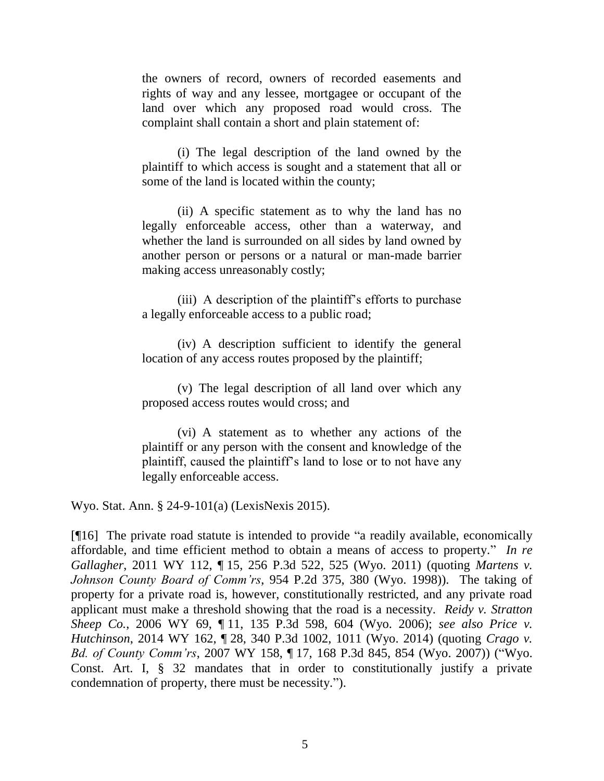the owners of record, owners of recorded easements and rights of way and any lessee, mortgagee or occupant of the land over which any proposed road would cross. The complaint shall contain a short and plain statement of:

(i) The legal description of the land owned by the plaintiff to which access is sought and a statement that all or some of the land is located within the county;

(ii) A specific statement as to why the land has no legally enforceable access, other than a waterway, and whether the land is surrounded on all sides by land owned by another person or persons or a natural or man-made barrier making access unreasonably costly;

(iii) A description of the plaintiff's efforts to purchase a legally enforceable access to a public road;

(iv) A description sufficient to identify the general location of any access routes proposed by the plaintiff;

(v) The legal description of all land over which any proposed access routes would cross; and

(vi) A statement as to whether any actions of the plaintiff or any person with the consent and knowledge of the plaintiff, caused the plaintiff's land to lose or to not have any legally enforceable access.

Wyo. Stat. Ann. § 24-9-101(a) (LexisNexis 2015).

[¶16] The private road statute is intended to provide "a readily available, economically affordable, and time efficient method to obtain a means of access to property." *In re Gallagher*, 2011 WY 112, ¶ 15, 256 P.3d 522, 525 (Wyo. 2011) (quoting *[Martens v.](http://www.westlaw.com/Link/Document/FullText?findType=Y&serNum=1998058247&pubNum=661&originatingDoc=Iee489e15b3d411e08bbeb4ca0e5b8ed9&refType=RP&fi=co_pp_sp_661_380&originationContext=document&vr=3.0&rs=cblt1.0&transitionType=DocumentItem&contextData=(sc.UserEnteredCitation)#co_pp_sp_661_380)  [Johnson County Board of Comm'rs](http://www.westlaw.com/Link/Document/FullText?findType=Y&serNum=1998058247&pubNum=661&originatingDoc=Iee489e15b3d411e08bbeb4ca0e5b8ed9&refType=RP&fi=co_pp_sp_661_380&originationContext=document&vr=3.0&rs=cblt1.0&transitionType=DocumentItem&contextData=(sc.UserEnteredCitation)#co_pp_sp_661_380)*, 954 P.2d 375, 380 (Wyo. 1998)). The taking of property for a private road is, however, constitutionally restricted, and any private road applicant must make a threshold showing that the road is a necessity. *Reidy v. Stratton Sheep Co.*, 2006 WY 69, ¶ 11, 135 P.3d 598, 604 (Wyo. 2006); *see also Price v. Hutchinson*, 2014 WY 162, ¶ 28, 340 P.3d 1002, 1011 (Wyo. 2014) (quoting *[Crago v.](http://www.westlaw.com/Link/Document/FullText?findType=Y&serNum=2013502765&pubNum=0004645&originatingDoc=I4b78f7ca856411e4a795ac035416da91&refType=RP&originationContext=document&vr=3.0&rs=cblt1.0&transitionType=DocumentItem&contextData=(sc.Search))  [Bd. of County Comm'rs](http://www.westlaw.com/Link/Document/FullText?findType=Y&serNum=2013502765&pubNum=0004645&originatingDoc=I4b78f7ca856411e4a795ac035416da91&refType=RP&originationContext=document&vr=3.0&rs=cblt1.0&transitionType=DocumentItem&contextData=(sc.Search))*, 2007 WY 158, ¶ 17, 168 P.3d 845, 854 (Wyo. 2007)) (["Wyo.](http://www.westlaw.com/Link/Document/FullText?findType=L&pubNum=1000375&cite=WYCNART1S32&originatingDoc=I4b78f7ca856411e4a795ac035416da91&refType=LQ&originationContext=document&vr=3.0&rs=cblt1.0&transitionType=DocumentItem&contextData=(sc.Search))  [Const. Art. I, § 32](http://www.westlaw.com/Link/Document/FullText?findType=L&pubNum=1000375&cite=WYCNART1S32&originatingDoc=I4b78f7ca856411e4a795ac035416da91&refType=LQ&originationContext=document&vr=3.0&rs=cblt1.0&transitionType=DocumentItem&contextData=(sc.Search)) mandates that in order to constitutionally justify a private condemnation of property, there must be necessity.").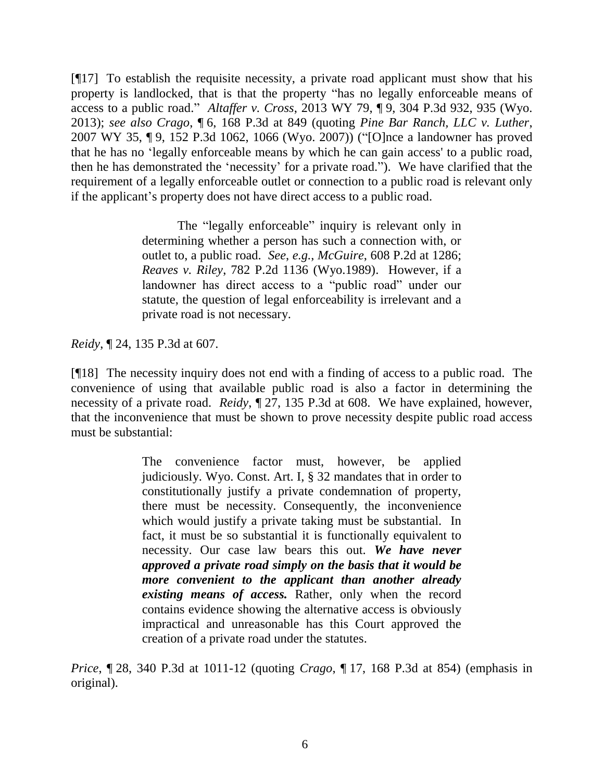[¶17] To establish the requisite necessity, a private road applicant must show that his property is landlocked, that is that the property "has no legally enforceable means of access to a public road." *Altaffer v. Cross*, 2013 WY 79, ¶ 9, 304 P.3d 932, 935 (Wyo. 2013); *see also Crago*, ¶ 6, 168 P.3d at 849 (quoting *Pine Bar Ranch, LLC v. Luther*, 2007 WY 35, ¶ 9, 152 P.3d 1062, 1066 (Wyo. 2007)) ("[O]nce a landowner has proved that he has no 'legally enforceable means by which he can gain access' to a public road, then he has demonstrated the 'necessity' for a private road."). We have clarified that the requirement of a legally enforceable outlet or connection to a public road is relevant only if the applicant's property does not have direct access to a public road.

> The "legally enforceable" inquiry is relevant only in determining whether a person has such a connection with, or outlet to, a public road. *See*, *e.g.*, *McGuire*[, 608 P.2d at 1286;](http://www.westlaw.com/Link/Document/FullText?findType=Y&serNum=1980109148&pubNum=661&originatingDoc=Ia793571cf24411daa223cd6b838f54f9&refType=RP&fi=co_pp_sp_661_1286&originationContext=document&vr=3.0&rs=cblt1.0&transitionType=DocumentItem&contextData=(sc.UserEnteredCitation)#co_pp_sp_661_1286) *Reaves v. Riley*[, 782 P.2d 1136 \(Wyo.1989\).](http://www.westlaw.com/Link/Document/FullText?findType=Y&serNum=1989167477&pubNum=661&originatingDoc=Ia793571cf24411daa223cd6b838f54f9&refType=RP&originationContext=document&vr=3.0&rs=cblt1.0&transitionType=DocumentItem&contextData=(sc.UserEnteredCitation)) However, if a landowner has direct access to a "public road" under our statute, the question of legal enforceability is irrelevant and a private road is not necessary.

*Reidy*, ¶ 24, 135 P.3d at 607.

[¶18] The necessity inquiry does not end with a finding of access to a public road. The convenience of using that available public road is also a factor in determining the necessity of a private road. *Reidy*, ¶ 27, 135 P.3d at 608. We have explained, however, that the inconvenience that must be shown to prove necessity despite public road access must be substantial:

> The convenience factor must, however, be applied judiciously. [Wyo. Const. Art. I, § 32](http://www.westlaw.com/Link/Document/FullText?findType=L&pubNum=1000375&cite=WYCNART1S32&originatingDoc=I4b78f7ca856411e4a795ac035416da91&refType=LQ&originationContext=document&vr=3.0&rs=cblt1.0&transitionType=DocumentItem&contextData=(sc.Search)) mandates that in order to constitutionally justify a private condemnation of property, there must be necessity. Consequently, the inconvenience which would justify a private taking must be substantial. In fact, it must be so substantial it is functionally equivalent to necessity. Our case law bears this out. *We have never approved a private road simply on the basis that it would be more convenient to the applicant than another already existing means of access.* Rather, only when the record contains evidence showing the alternative access is obviously impractical and unreasonable has this Court approved the creation of a private road under the statutes.

*Price*, ¶ 28, 340 P.3d at 1011-12 (quoting *Crago*, ¶ [17, 168 P.3d at 854\)](http://www.westlaw.com/Link/Document/FullText?findType=Y&serNum=2013502765&pubNum=0004645&originatingDoc=I4b78f7ca856411e4a795ac035416da91&refType=RP&fi=co_pp_sp_4645_854&originationContext=document&vr=3.0&rs=cblt1.0&transitionType=DocumentItem&contextData=(sc.Search)#co_pp_sp_4645_854) (emphasis in original).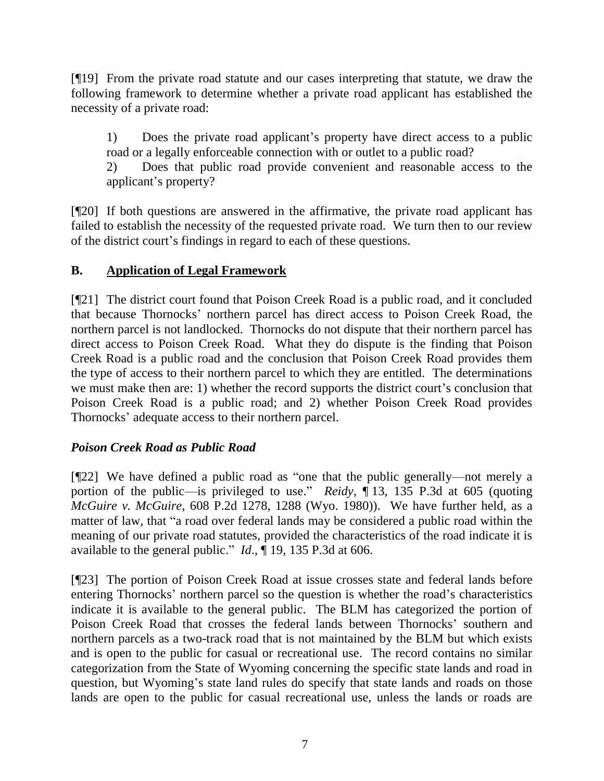[¶19] From the private road statute and our cases interpreting that statute, we draw the following framework to determine whether a private road applicant has established the necessity of a private road:

1) Does the private road applicant's property have direct access to a public road or a legally enforceable connection with or outlet to a public road?

2) Does that public road provide convenient and reasonable access to the applicant's property?

[¶20] If both questions are answered in the affirmative, the private road applicant has failed to establish the necessity of the requested private road. We turn then to our review of the district court's findings in regard to each of these questions.

## **B. Application of Legal Framework**

[¶21] The district court found that Poison Creek Road is a public road, and it concluded that because Thornocks' northern parcel has direct access to Poison Creek Road, the northern parcel is not landlocked. Thornocks do not dispute that their northern parcel has direct access to Poison Creek Road. What they do dispute is the finding that Poison Creek Road is a public road and the conclusion that Poison Creek Road provides them the type of access to their northern parcel to which they are entitled. The determinations we must make then are: 1) whether the record supports the district court's conclusion that Poison Creek Road is a public road; and 2) whether Poison Creek Road provides Thornocks' adequate access to their northern parcel.

## *Poison Creek Road as Public Road*

[¶22] We have defined a public road as "one that the public generally—not merely a portion of the public—is privileged to use." *Reidy*, ¶ 13, 135 P.3d at 605 (quoting *McGuire v. McGuire*[, 608 P.2d 1278, 1288](http://www.westlaw.com/Link/Document/FullText?findType=Y&serNum=1980109148&pubNum=661&originatingDoc=Ia793571cf24411daa223cd6b838f54f9&refType=RP&fi=co_pp_sp_661_1286&originationContext=document&vr=3.0&rs=cblt1.0&transitionType=DocumentItem&contextData=(sc.UserEnteredCitation)#co_pp_sp_661_1286) (Wyo. 1980)). We have further held, as a matter of law, that "a road over federal lands may be considered a public road within the meaning of our private road statutes, provided the characteristics of the road indicate it is available to the general public." *Id*., ¶ 19, 135 P.3d at 606.

[¶23] The portion of Poison Creek Road at issue crosses state and federal lands before entering Thornocks' northern parcel so the question is whether the road's characteristics indicate it is available to the general public. The BLM has categorized the portion of Poison Creek Road that crosses the federal lands between Thornocks' southern and northern parcels as a two-track road that is not maintained by the BLM but which exists and is open to the public for casual or recreational use. The record contains no similar categorization from the State of Wyoming concerning the specific state lands and road in question, but Wyoming's state land rules do specify that state lands and roads on those lands are open to the public for casual recreational use, unless the lands or roads are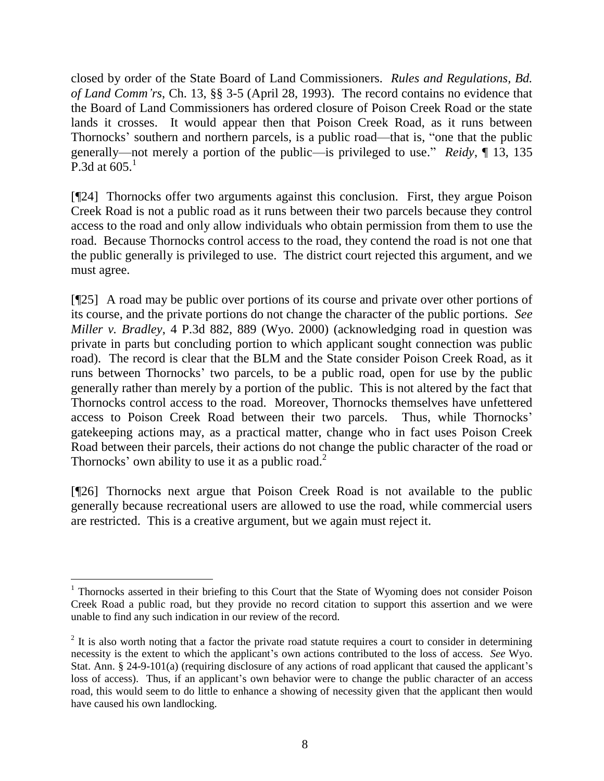closed by order of the State Board of Land Commissioners. *Rules and Regulations, Bd. of Land Comm'rs*, Ch. 13, §§ 3-5 (April 28, 1993). The record contains no evidence that the Board of Land Commissioners has ordered closure of Poison Creek Road or the state lands it crosses. It would appear then that Poison Creek Road, as it runs between Thornocks' southern and northern parcels, is a public road—that is, "one that the public generally—not merely a portion of the public—is privileged to use." *Reidy*, ¶ 13, 135 P.3d at  $605<sup>1</sup>$ 

[¶24] Thornocks offer two arguments against this conclusion. First, they argue Poison Creek Road is not a public road as it runs between their two parcels because they control access to the road and only allow individuals who obtain permission from them to use the road. Because Thornocks control access to the road, they contend the road is not one that the public generally is privileged to use. The district court rejected this argument, and we must agree.

[¶25] A road may be public over portions of its course and private over other portions of its course, and the private portions do not change the character of the public portions. *See Miller v. Bradley*, 4 P.3d 882, 889 (Wyo. 2000) (acknowledging road in question was private in parts but concluding portion to which applicant sought connection was public road). The record is clear that the BLM and the State consider Poison Creek Road, as it runs between Thornocks' two parcels, to be a public road, open for use by the public generally rather than merely by a portion of the public. This is not altered by the fact that Thornocks control access to the road. Moreover, Thornocks themselves have unfettered access to Poison Creek Road between their two parcels. Thus, while Thornocks' gatekeeping actions may, as a practical matter, change who in fact uses Poison Creek Road between their parcels, their actions do not change the public character of the road or Thornocks' own ability to use it as a public road.<sup>2</sup>

[¶26] Thornocks next argue that Poison Creek Road is not available to the public generally because recreational users are allowed to use the road, while commercial users are restricted. This is a creative argument, but we again must reject it.

 $\overline{a}$ 

<sup>&</sup>lt;sup>1</sup> Thornocks asserted in their briefing to this Court that the State of Wyoming does not consider Poison Creek Road a public road, but they provide no record citation to support this assertion and we were unable to find any such indication in our review of the record.

 $2$  It is also worth noting that a factor the private road statute requires a court to consider in determining necessity is the extent to which the applicant's own actions contributed to the loss of access. *See* Wyo. Stat. Ann. § 24-9-101(a) (requiring disclosure of any actions of road applicant that caused the applicant's loss of access). Thus, if an applicant's own behavior were to change the public character of an access road, this would seem to do little to enhance a showing of necessity given that the applicant then would have caused his own landlocking.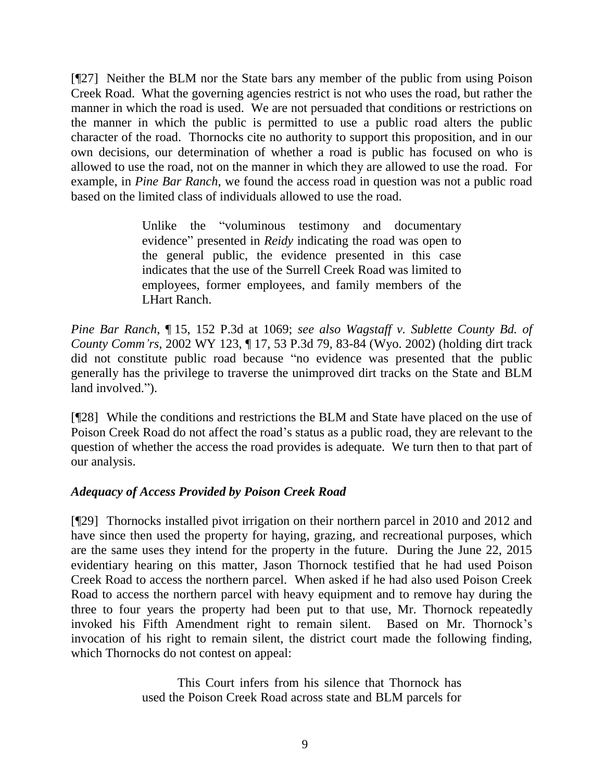[¶27] Neither the BLM nor the State bars any member of the public from using Poison Creek Road. What the governing agencies restrict is not who uses the road, but rather the manner in which the road is used. We are not persuaded that conditions or restrictions on the manner in which the public is permitted to use a public road alters the public character of the road. Thornocks cite no authority to support this proposition, and in our own decisions, our determination of whether a road is public has focused on who is allowed to use the road, not on the manner in which they are allowed to use the road. For example, in *Pine Bar Ranch*, we found the access road in question was not a public road based on the limited class of individuals allowed to use the road.

> Unlike the "voluminous testimony and documentary evidence" presented in *[Reidy](http://www.westlaw.com/Link/Document/FullText?findType=Y&serNum=2009286247&originatingDoc=Iae4fe672c8fb11dba4728af0555de120&refType=RP&originationContext=document&vr=3.0&rs=cblt1.0&transitionType=DocumentItem&contextData=(sc.UserEnteredCitation))* indicating the road was open to the general public, the evidence presented in this case indicates that the use of the Surrell Creek Road was limited to employees, former employees, and family members of the LHart Ranch.

*Pine Bar Ranch*, ¶ 15, 152 P.3d at 1069; *see also Wagstaff v. Sublette County Bd. of County Comm'rs*, 2002 WY 123, ¶ 17, 53 P.3d 79, 83-84 (Wyo. 2002) (holding dirt track did not constitute public road because "no evidence was presented that the public generally has the privilege to traverse the unimproved dirt tracks on the State and BLM land involved.").

[¶28] While the conditions and restrictions the BLM and State have placed on the use of Poison Creek Road do not affect the road's status as a public road, they are relevant to the question of whether the access the road provides is adequate. We turn then to that part of our analysis.

## *Adequacy of Access Provided by Poison Creek Road*

[¶29] Thornocks installed pivot irrigation on their northern parcel in 2010 and 2012 and have since then used the property for haying, grazing, and recreational purposes, which are the same uses they intend for the property in the future. During the June 22, 2015 evidentiary hearing on this matter, Jason Thornock testified that he had used Poison Creek Road to access the northern parcel. When asked if he had also used Poison Creek Road to access the northern parcel with heavy equipment and to remove hay during the three to four years the property had been put to that use, Mr. Thornock repeatedly invoked his Fifth Amendment right to remain silent. Based on Mr. Thornock's invocation of his right to remain silent, the district court made the following finding, which Thornocks do not contest on appeal:

> This Court infers from his silence that Thornock has used the Poison Creek Road across state and BLM parcels for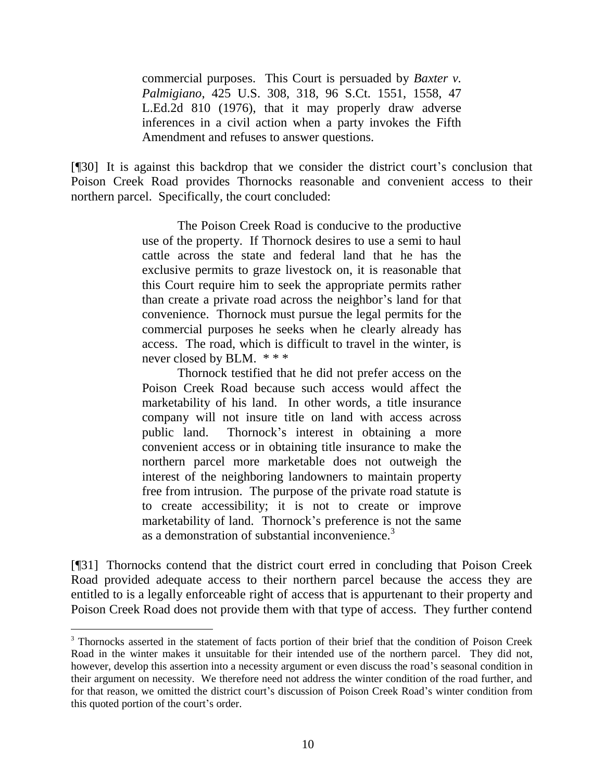commercial purposes. This Court is persuaded by *Baxter v. Palmigiano*, 425 U.S. 308, 318, 96 S.Ct. 1551, 1558, 47 L.Ed.2d 810 (1976), that it may properly draw adverse inferences in a civil action when a party invokes the Fifth Amendment and refuses to answer questions.

[¶30] It is against this backdrop that we consider the district court's conclusion that Poison Creek Road provides Thornocks reasonable and convenient access to their northern parcel. Specifically, the court concluded:

> The Poison Creek Road is conducive to the productive use of the property. If Thornock desires to use a semi to haul cattle across the state and federal land that he has the exclusive permits to graze livestock on, it is reasonable that this Court require him to seek the appropriate permits rather than create a private road across the neighbor's land for that convenience. Thornock must pursue the legal permits for the commercial purposes he seeks when he clearly already has access. The road, which is difficult to travel in the winter, is never closed by BLM. \* \* \*

> Thornock testified that he did not prefer access on the Poison Creek Road because such access would affect the marketability of his land. In other words, a title insurance company will not insure title on land with access across public land. Thornock's interest in obtaining a more convenient access or in obtaining title insurance to make the northern parcel more marketable does not outweigh the interest of the neighboring landowners to maintain property free from intrusion. The purpose of the private road statute is to create accessibility; it is not to create or improve marketability of land. Thornock's preference is not the same as a demonstration of substantial inconvenience.<sup>3</sup>

[¶31] Thornocks contend that the district court erred in concluding that Poison Creek Road provided adequate access to their northern parcel because the access they are entitled to is a legally enforceable right of access that is appurtenant to their property and Poison Creek Road does not provide them with that type of access. They further contend

 $\overline{a}$ 

<sup>&</sup>lt;sup>3</sup> Thornocks asserted in the statement of facts portion of their brief that the condition of Poison Creek Road in the winter makes it unsuitable for their intended use of the northern parcel. They did not, however, develop this assertion into a necessity argument or even discuss the road's seasonal condition in their argument on necessity. We therefore need not address the winter condition of the road further, and for that reason, we omitted the district court's discussion of Poison Creek Road's winter condition from this quoted portion of the court's order.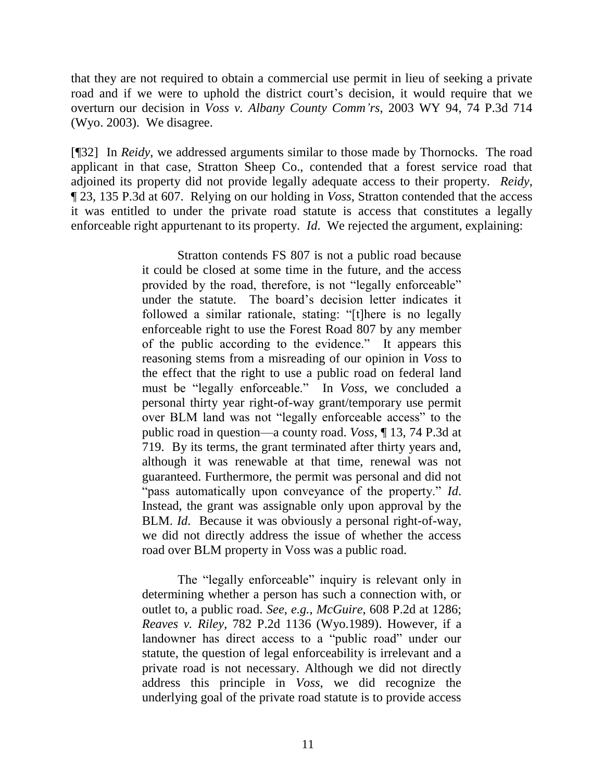that they are not required to obtain a commercial use permit in lieu of seeking a private road and if we were to uphold the district court's decision, it would require that we overturn our decision in *Voss v. Albany County Comm'rs*, 2003 WY 94, 74 P.3d 714 (Wyo. 2003). We disagree.

[¶32] In *Reidy*, we addressed arguments similar to those made by Thornocks. The road applicant in that case, Stratton Sheep Co., contended that a forest service road that adjoined its property did not provide legally adequate access to their property. *Reidy*, ¶ 23, 135 P.3d at 607. Relying on our holding in *Voss*, Stratton contended that the access it was entitled to under the private road statute is access that constitutes a legally enforceable right appurtenant to its property. *Id*. We rejected the argument, explaining:

> Stratton contends FS 807 is not a public road because it could be closed at some time in the future, and the access provided by the road, therefore, is not "legally enforceable" under the statute. The board's decision letter indicates it followed a similar rationale, stating: "[t]here is no legally enforceable right to use the Forest Road 807 by any member of the public according to the evidence." It appears this reasoning stems from a misreading of our opinion in *Voss* to the effect that the right to use a public road on federal land must be "legally enforceable." In *Voss*, we concluded a personal thirty year right-of-way grant/temporary use permit over BLM land was not "legally enforceable access" to the public road in question[—a county road.](http://www.westlaw.com/Link/Document/FullText?findType=Y&serNum=2003559586&pubNum=4645&originatingDoc=Ia793571cf24411daa223cd6b838f54f9&refType=RP&fi=co_pp_sp_4645_719&originationContext=document&vr=3.0&rs=cblt1.0&transitionType=DocumentItem&contextData=(sc.UserEnteredCitation)#co_pp_sp_4645_719) *Voss*, ¶ 13, 74 P.3d at [719.](http://www.westlaw.com/Link/Document/FullText?findType=Y&serNum=2003559586&pubNum=4645&originatingDoc=Ia793571cf24411daa223cd6b838f54f9&refType=RP&fi=co_pp_sp_4645_719&originationContext=document&vr=3.0&rs=cblt1.0&transitionType=DocumentItem&contextData=(sc.UserEnteredCitation)#co_pp_sp_4645_719) By its terms, the grant terminated after thirty years and, although it was renewable at that time, renewal was not guaranteed. Furthermore, the permit was personal and did not "pass automatically upon conveyance of the property." *Id*. Instead, the grant was assignable only upon approval by the BLM. *Id*. Because it was obviously a personal right-of-way, we did not directly address the issue of whether the access road over BLM property in Voss was a public road.

> The "legally enforceable" inquiry is relevant only in determining whether a person has such a connection with, or outlet to, a public road. *See, e.g.*, *McGuire*[, 608 P.2d at 1286;](http://www.westlaw.com/Link/Document/FullText?findType=Y&serNum=1980109148&pubNum=661&originatingDoc=Ia793571cf24411daa223cd6b838f54f9&refType=RP&fi=co_pp_sp_661_1286&originationContext=document&vr=3.0&rs=cblt1.0&transitionType=DocumentItem&contextData=(sc.UserEnteredCitation)#co_pp_sp_661_1286) *Reaves v. Riley*[, 782 P.2d 1136 \(Wyo.1989\).](http://www.westlaw.com/Link/Document/FullText?findType=Y&serNum=1989167477&pubNum=661&originatingDoc=Ia793571cf24411daa223cd6b838f54f9&refType=RP&originationContext=document&vr=3.0&rs=cblt1.0&transitionType=DocumentItem&contextData=(sc.UserEnteredCitation)) However, if a landowner has direct access to a "public road" under our statute, the question of legal enforceability is irrelevant and a private road is not necessary. Although we did not directly address this principle in *Voss*, we did recognize the underlying goal of the private road statute is to provide access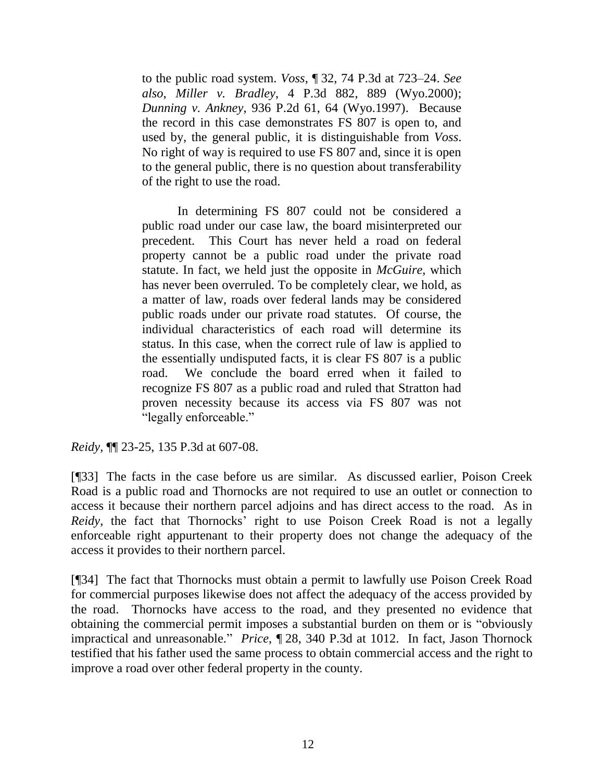to the public road system. *Voss*, ¶ [32, 74 P.3d at 723–24.](http://www.westlaw.com/Link/Document/FullText?findType=Y&serNum=2003559586&pubNum=4645&originatingDoc=Ia793571cf24411daa223cd6b838f54f9&refType=RP&fi=co_pp_sp_4645_723&originationContext=document&vr=3.0&rs=cblt1.0&transitionType=DocumentItem&contextData=(sc.UserEnteredCitation)#co_pp_sp_4645_723) *See also*, *Miller v. Bradley*[, 4 P.3d 882, 889 \(Wyo.2000\);](http://www.westlaw.com/Link/Document/FullText?findType=Y&serNum=2000113427&pubNum=4645&originatingDoc=Ia793571cf24411daa223cd6b838f54f9&refType=RP&fi=co_pp_sp_4645_889&originationContext=document&vr=3.0&rs=cblt1.0&transitionType=DocumentItem&contextData=(sc.UserEnteredCitation)#co_pp_sp_4645_889) *Dunning v. Ankney*[, 936 P.2d 61, 64 \(Wyo.1997\).](http://www.westlaw.com/Link/Document/FullText?findType=Y&serNum=1997086968&pubNum=661&originatingDoc=Ia793571cf24411daa223cd6b838f54f9&refType=RP&fi=co_pp_sp_661_64&originationContext=document&vr=3.0&rs=cblt1.0&transitionType=DocumentItem&contextData=(sc.UserEnteredCitation)#co_pp_sp_661_64) Because the record in this case demonstrates FS 807 is open to, and used by, the general public, it is distinguishable from *Voss*. No right of way is required to use FS 807 and, since it is open to the general public, there is no question about transferability of the right to use the road.

In determining FS 807 could not be considered a public road under our case law, the board misinterpreted our precedent. This Court has never held a road on federal property cannot be a public road under the private road statute. In fact, we held just the opposite in *McGuire*, which has never been overruled. To be completely clear, we hold, as a matter of law, roads over federal lands may be considered public roads under our private road statutes. Of course, the individual characteristics of each road will determine its status. In this case, when the correct rule of law is applied to the essentially undisputed facts, it is clear FS 807 is a public road. We conclude the board erred when it failed to recognize FS 807 as a public road and ruled that Stratton had proven necessity because its access via FS 807 was not "legally enforceable."

*Reidy*, ¶¶ 23-25, 135 P.3d at 607-08.

[¶33] The facts in the case before us are similar. As discussed earlier, Poison Creek Road is a public road and Thornocks are not required to use an outlet or connection to access it because their northern parcel adjoins and has direct access to the road. As in *Reidy*, the fact that Thornocks' right to use Poison Creek Road is not a legally enforceable right appurtenant to their property does not change the adequacy of the access it provides to their northern parcel.

[¶34] The fact that Thornocks must obtain a permit to lawfully use Poison Creek Road for commercial purposes likewise does not affect the adequacy of the access provided by the road. Thornocks have access to the road, and they presented no evidence that obtaining the commercial permit imposes a substantial burden on them or is "obviously impractical and unreasonable." *Price*, ¶ 28, 340 P.3d at 1012. In fact, Jason Thornock testified that his father used the same process to obtain commercial access and the right to improve a road over other federal property in the county.